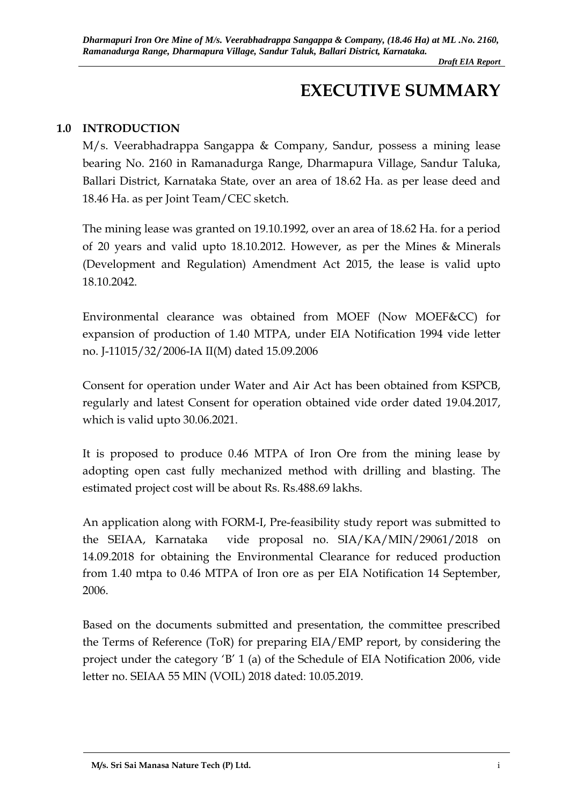# **EXECUTIVE SUMMARY**

#### **1.0 INTRODUCTION**

M/s. Veerabhadrappa Sangappa & Company, Sandur, possess a mining lease bearing No. 2160 in Ramanadurga Range, Dharmapura Village, Sandur Taluka, Ballari District, Karnataka State, over an area of 18.62 Ha. as per lease deed and 18.46 Ha. as per Joint Team/CEC sketch.

The mining lease was granted on 19.10.1992, over an area of 18.62 Ha. for a period of 20 years and valid upto 18.10.2012. However, as per the Mines & Minerals (Development and Regulation) Amendment Act 2015, the lease is valid upto 18.10.2042.

Environmental clearance was obtained from MOEF (Now MOEF&CC) for expansion of production of 1.40 MTPA, under EIA Notification 1994 vide letter no. J-11015/32/2006-IA II(M) dated 15.09.2006

Consent for operation under Water and Air Act has been obtained from KSPCB, regularly and latest Consent for operation obtained vide order dated 19.04.2017, which is valid upto 30.06.2021.

It is proposed to produce 0.46 MTPA of Iron Ore from the mining lease by adopting open cast fully mechanized method with drilling and blasting. The estimated project cost will be about Rs. Rs.488.69 lakhs.

An application along with FORM-I, Pre-feasibility study report was submitted to the SEIAA, Karnataka vide proposal no. SIA/KA/MIN/29061/2018 on 14.09.2018 for obtaining the Environmental Clearance for reduced production from 1.40 mtpa to 0.46 MTPA of Iron ore as per EIA Notification 14 September, 2006.

Based on the documents submitted and presentation, the committee prescribed the Terms of Reference (ToR) for preparing EIA/EMP report, by considering the project under the category 'B' 1 (a) of the Schedule of EIA Notification 2006, vide letter no. SEIAA 55 MIN (VOIL) 2018 dated: 10.05.2019.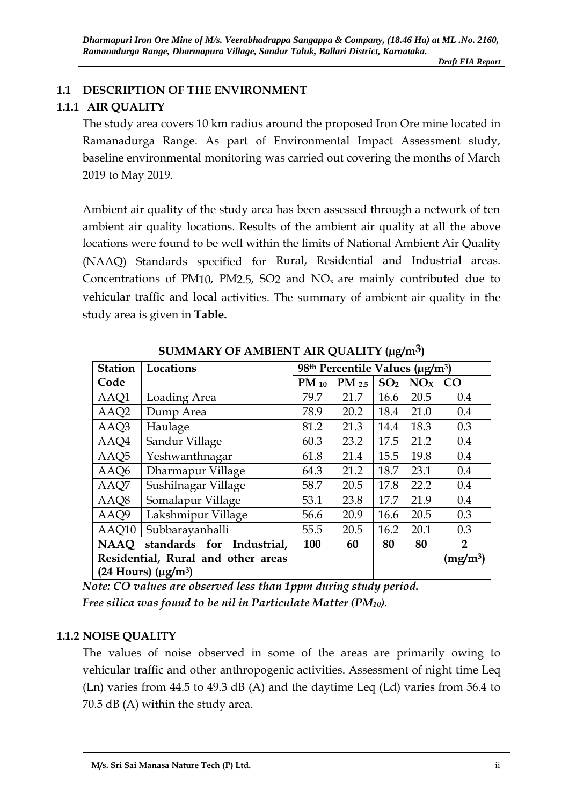# **1.1 DESCRIPTION OF THE ENVIRONMENT**

# **1.1.1 AIR QUALITY**

The study area covers 10 km radius around the proposed Iron Ore mine located in Ramanadurga Range. As part of Environmental Impact Assessment study, baseline environmental monitoring was carried out covering the months of March 2019 to May 2019.

Ambient air quality of the study area has been assessed through a network of ten ambient air quality locations. Results of the ambient air quality at all the above locations were found to be well within the limits of National Ambient Air Quality (NAAQ) Standards specified for Rural, Residential and Industrial areas. Concentrations of PM10, PM2.5, SO2 and  $NO<sub>x</sub>$  are mainly contributed due to vehicular traffic and local activities. The summary of ambient air quality in the study area is given in **Table.** 

|                                    |                     |                                             |            | v o             |                      |     |
|------------------------------------|---------------------|---------------------------------------------|------------|-----------------|----------------------|-----|
| <b>Station</b>                     | Locations           | 98th Percentile Values (µg/m <sup>3</sup> ) |            |                 |                      |     |
| Code                               |                     | $PM_{10}$                                   | $PM_{2.5}$ | SO <sub>2</sub> | NO <sub>X</sub>      | CO  |
| AAQ1                               | Loading Area        | 79.7                                        | 21.7       | 16.6            | 20.5                 | 0.4 |
| AAQ <sub>2</sub>                   | Dump Area           | 78.9                                        | 20.2       | 18.4            | 21.0                 | 0.4 |
| AAQ3                               | Haulage             | 81.2                                        | 21.3       | 14.4            | 18.3                 | 0.3 |
| AAQ4                               | Sandur Village      | 60.3                                        | 23.2       | 17.5            | 21.2                 | 0.4 |
| AAQ5                               | Yeshwanthnagar      | 61.8                                        | 21.4       | 15.5            | 19.8                 | 0.4 |
| AAQ6                               | Dharmapur Village   | 64.3                                        | 21.2       | 18.7            | 23.1                 | 0.4 |
| AAQ7                               | Sushilnagar Village | 58.7                                        | 20.5       | 17.8            | 22.2                 | 0.4 |
| AAQ8                               | Somalapur Village   | 53.1                                        | 23.8       | 17.7            | 21.9                 | 0.4 |
| AAQ9                               | Lakshmipur Village  | 56.6                                        | 20.9       | 16.6            | 20.5                 | 0.3 |
| AAQ10                              | Subbarayanhalli     | 55.5                                        | 20.5       | 16.2            | 20.1                 | 0.3 |
| NAAQ standards for Industrial,     | 100                 | 60                                          | 80         | 80              | $\overline{2}$       |     |
| Residential, Rural and other areas |                     |                                             |            |                 | (mg/m <sup>3</sup> ) |     |
| $(24$ Hours) $(\mu g/m^3)$         |                     |                                             |            |                 |                      |     |

**SUMMARY OF AMBIENT AIR QUALITY (µg/m3)** 

*Note: CO values are observed less than 1ppm during study period. Free silica was found to be nil in Particulate Matter (PM10).* 

# **1.1.2 NOISE QUALITY**

The values of noise observed in some of the areas are primarily owing to vehicular traffic and other anthropogenic activities. Assessment of night time Leq (Ln) varies from 44.5 to 49.3 dB (A) and the daytime Leq (Ld) varies from 56.4 to 70.5 dB (A) within the study area.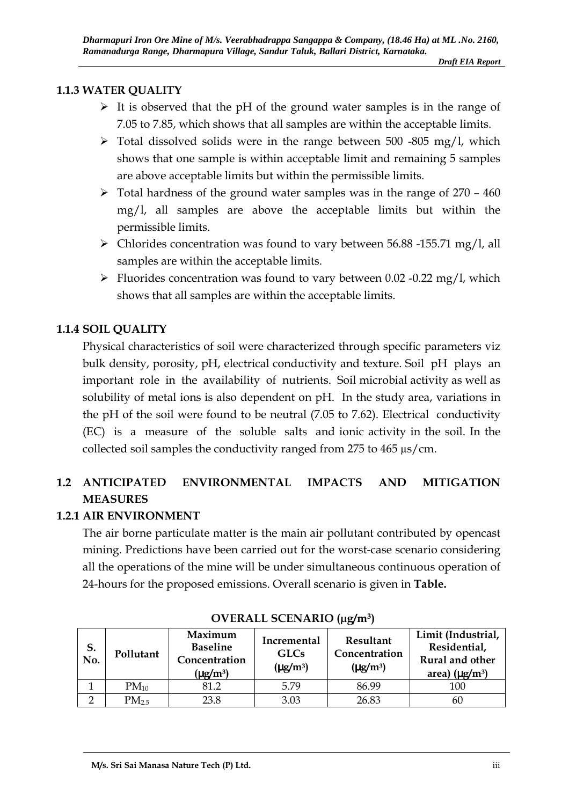#### **1.1.3 WATER QUALITY**

- $\triangleright$  It is observed that the pH of the ground water samples is in the range of 7.05 to 7.85, which shows that all samples are within the acceptable limits.
- $\triangleright$  Total dissolved solids were in the range between 500 -805 mg/l, which shows that one sample is within acceptable limit and remaining 5 samples are above acceptable limits but within the permissible limits.
- $\geq$  Total hardness of the ground water samples was in the range of 270 460 mg/l, all samples are above the acceptable limits but within the permissible limits.
- $\triangleright$  Chlorides concentration was found to vary between 56.88 -155.71 mg/l, all samples are within the acceptable limits.
- Fluorides concentration was found to vary between  $0.02$  -0.22 mg/l, which shows that all samples are within the acceptable limits.

# **1.1.4 SOIL QUALITY**

Physical characteristics of soil were characterized through specific parameters viz bulk density, porosity, pH, electrical conductivity and texture. Soil pH plays an important role in the availability of nutrients. Soil microbial activity as well as solubility of metal ions is also dependent on pH. In the study area, variations in the pH of the soil were found to be neutral (7.05 to 7.62). Electrical conductivity (EC) is a measure of the soluble salts and ionic activity in the soil. In the collected soil samples the conductivity ranged from 275 to 465 µs/cm.

# **1.2 ANTICIPATED ENVIRONMENTAL IMPACTS AND MITIGATION MEASURES**

## **1.2.1 AIR ENVIRONMENT**

The air borne particulate matter is the main air pollutant contributed by opencast mining. Predictions have been carried out for the worst-case scenario considering all the operations of the mine will be under simultaneous continuous operation of 24-hours for the proposed emissions. Overall scenario is given in **Table.** 

| S.<br>No. | Pollutant         | Maximum<br><b>Baseline</b><br>Concentration<br>$(\mu$ g/m <sup>3</sup> ) | Incremental<br><b>GLCs</b><br>$(\mu g/m^3)$ | Resultant<br>Concentration<br>$(\mu g/m^3)$ | Limit (Industrial,<br>Residential,<br>Rural and other<br>area) $(\mu g/m^3)$ |
|-----------|-------------------|--------------------------------------------------------------------------|---------------------------------------------|---------------------------------------------|------------------------------------------------------------------------------|
|           | $PM_{10}$         | 81.2                                                                     | 5.79                                        | 86.99                                       | 100                                                                          |
|           | PM <sub>2.5</sub> | 23.8                                                                     | 3.03                                        | 26.83                                       | 60                                                                           |

#### **OVERALL SCENARIO (µg/m<sup>3</sup>)**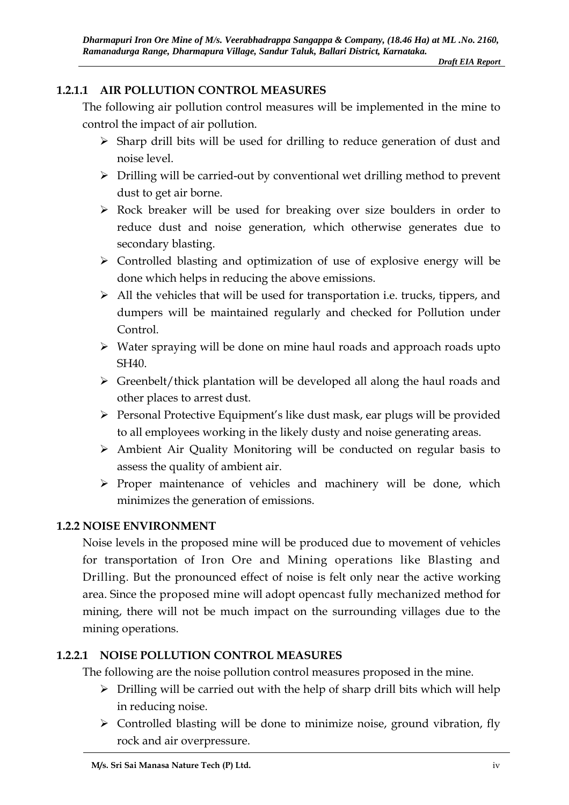# **1.2.1.1 AIR POLLUTION CONTROL MEASURES**

The following air pollution control measures will be implemented in the mine to control the impact of air pollution.

- $\triangleright$  Sharp drill bits will be used for drilling to reduce generation of dust and noise level.
- $\triangleright$  Drilling will be carried-out by conventional wet drilling method to prevent dust to get air borne.
- $\triangleright$  Rock breaker will be used for breaking over size boulders in order to reduce dust and noise generation, which otherwise generates due to secondary blasting.
- $\triangleright$  Controlled blasting and optimization of use of explosive energy will be done which helps in reducing the above emissions.
- $\triangleright$  All the vehicles that will be used for transportation i.e. trucks, tippers, and dumpers will be maintained regularly and checked for Pollution under Control.
- $\triangleright$  Water spraying will be done on mine haul roads and approach roads upto SH40.
- Greenbelt/thick plantation will be developed all along the haul roads and other places to arrest dust.
- $\triangleright$  Personal Protective Equipment's like dust mask, ear plugs will be provided to all employees working in the likely dusty and noise generating areas.
- Ambient Air Quality Monitoring will be conducted on regular basis to assess the quality of ambient air.
- $\triangleright$  Proper maintenance of vehicles and machinery will be done, which minimizes the generation of emissions.

## **1.2.2 NOISE ENVIRONMENT**

Noise levels in the proposed mine will be produced due to movement of vehicles for transportation of Iron Ore and Mining operations like Blasting and Drilling. But the pronounced effect of noise is felt only near the active working area. Since the proposed mine will adopt opencast fully mechanized method for mining, there will not be much impact on the surrounding villages due to the mining operations.

# **1.2.2.1 NOISE POLLUTION CONTROL MEASURES**

The following are the noise pollution control measures proposed in the mine.

- $\triangleright$  Drilling will be carried out with the help of sharp drill bits which will help in reducing noise.
- $\triangleright$  Controlled blasting will be done to minimize noise, ground vibration, fly rock and air overpressure.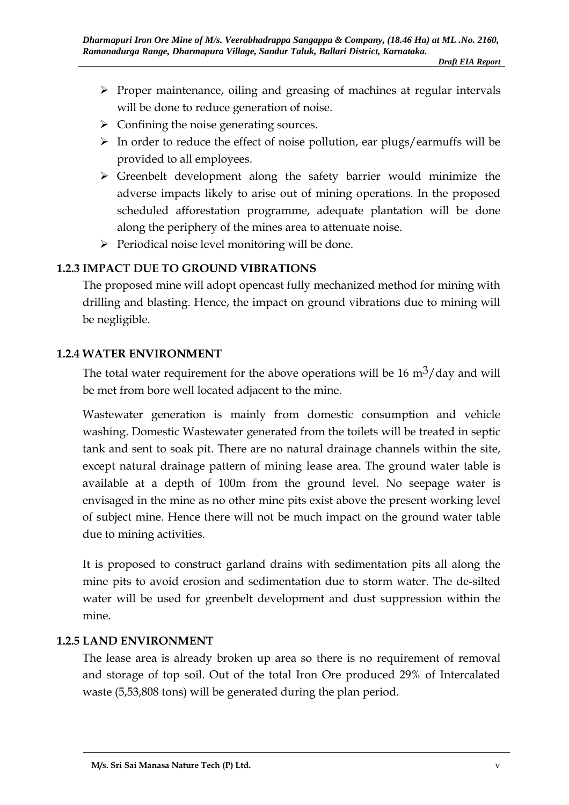- $\triangleright$  Proper maintenance, oiling and greasing of machines at regular intervals will be done to reduce generation of noise.
- $\triangleright$  Confining the noise generating sources.
- $\triangleright$  In order to reduce the effect of noise pollution, ear plugs/earmuffs will be provided to all employees.
- Greenbelt development along the safety barrier would minimize the adverse impacts likely to arise out of mining operations. In the proposed scheduled afforestation programme, adequate plantation will be done along the periphery of the mines area to attenuate noise.
- $\triangleright$  Periodical noise level monitoring will be done.

## **1.2.3 IMPACT DUE TO GROUND VIBRATIONS**

The proposed mine will adopt opencast fully mechanized method for mining with drilling and blasting. Hence, the impact on ground vibrations due to mining will be negligible.

#### **1.2.4 WATER ENVIRONMENT**

The total water requirement for the above operations will be 16  $\text{m}^3/\text{day}$  and will be met from bore well located adjacent to the mine.

Wastewater generation is mainly from domestic consumption and vehicle washing. Domestic Wastewater generated from the toilets will be treated in septic tank and sent to soak pit. There are no natural drainage channels within the site, except natural drainage pattern of mining lease area. The ground water table is available at a depth of 100m from the ground level. No seepage water is envisaged in the mine as no other mine pits exist above the present working level of subject mine. Hence there will not be much impact on the ground water table due to mining activities.

It is proposed to construct garland drains with sedimentation pits all along the mine pits to avoid erosion and sedimentation due to storm water. The de-silted water will be used for greenbelt development and dust suppression within the mine.

#### **1.2.5 LAND ENVIRONMENT**

The lease area is already broken up area so there is no requirement of removal and storage of top soil. Out of the total Iron Ore produced 29% of Intercalated waste (5,53,808 tons) will be generated during the plan period.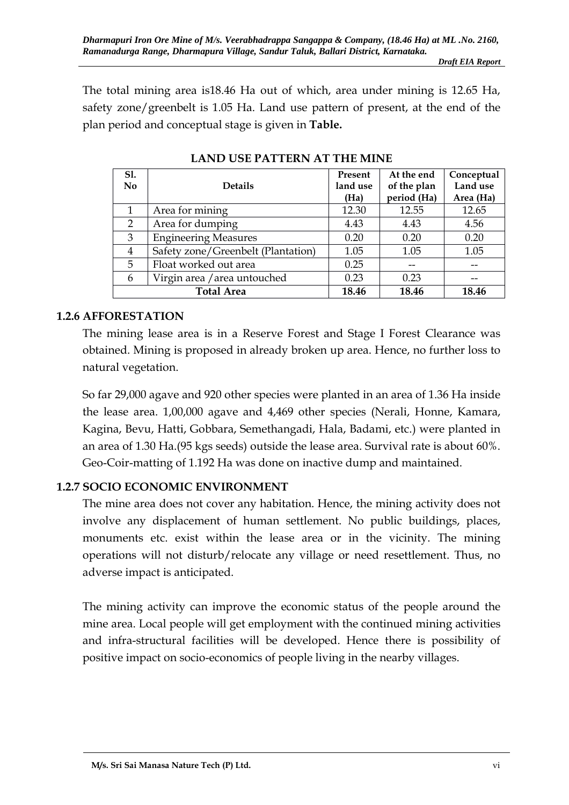The total mining area is18.46 Ha out of which, area under mining is 12.65 Ha, safety zone/greenbelt is 1.05 Ha. Land use pattern of present, at the end of the plan period and conceptual stage is given in **Table.** 

| S1.<br>N <sub>0</sub> | <b>Details</b>                     | Present<br>land use<br>(Ha) | At the end<br>of the plan<br>period (Ha) | Conceptual<br>Land use<br>Area (Ha) |
|-----------------------|------------------------------------|-----------------------------|------------------------------------------|-------------------------------------|
| 1                     | Area for mining                    | 12.30                       | 12.55                                    | 12.65                               |
| 2                     | Area for dumping                   | 4.43                        | 4.43                                     | 4.56                                |
| 3                     | <b>Engineering Measures</b>        | 0.20                        | 0.20                                     | 0.20                                |
| 4                     | Safety zone/Greenbelt (Plantation) | 1.05                        | 1.05                                     | 1.05                                |
| 5                     | Float worked out area              | 0.25                        | --                                       |                                     |
| 6                     | Virgin area / area untouched       | 0.23                        | 0.23                                     |                                     |
|                       | <b>Total Area</b>                  | 18.46                       | 18.46                                    | 18.46                               |

**LAND USE PATTERN AT THE MINE** 

#### **1.2.6 AFFORESTATION**

The mining lease area is in a Reserve Forest and Stage I Forest Clearance was obtained. Mining is proposed in already broken up area. Hence, no further loss to natural vegetation.

So far 29,000 agave and 920 other species were planted in an area of 1.36 Ha inside the lease area. 1,00,000 agave and 4,469 other species (Nerali, Honne, Kamara, Kagina, Bevu, Hatti, Gobbara, Semethangadi, Hala, Badami, etc.) were planted in an area of 1.30 Ha.(95 kgs seeds) outside the lease area. Survival rate is about 60%. Geo-Coir-matting of 1.192 Ha was done on inactive dump and maintained.

## **1.2.7 SOCIO ECONOMIC ENVIRONMENT**

The mine area does not cover any habitation. Hence, the mining activity does not involve any displacement of human settlement. No public buildings, places, monuments etc. exist within the lease area or in the vicinity. The mining operations will not disturb/relocate any village or need resettlement. Thus, no adverse impact is anticipated.

The mining activity can improve the economic status of the people around the mine area. Local people will get employment with the continued mining activities and infra-structural facilities will be developed. Hence there is possibility of positive impact on socio-economics of people living in the nearby villages.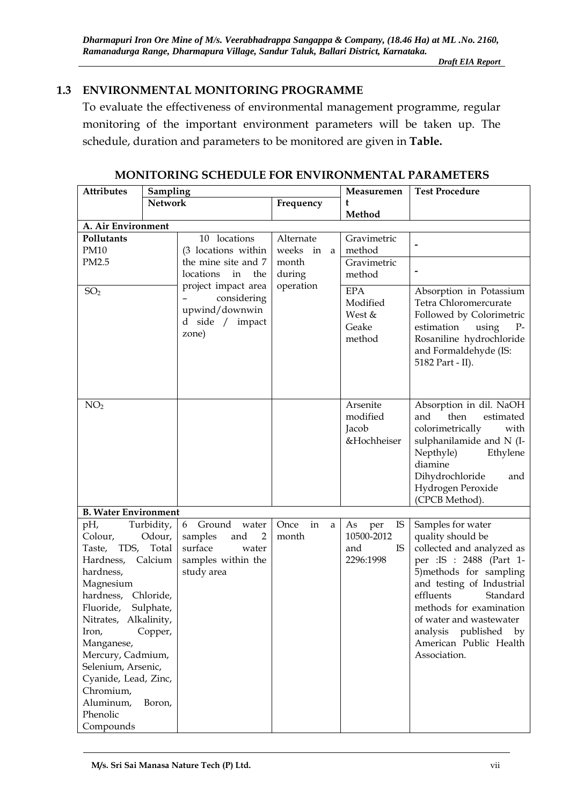## **1.3 ENVIRONMENTAL MONITORING PROGRAMME**

To evaluate the effectiveness of environmental management programme, regular monitoring of the important environment parameters will be taken up. The schedule, duration and parameters to be monitored are given in **Table.**

| <b>Attributes</b><br>Sampling                                                                                                                                                                                                                                   |                                                                                              |                                                                                                                  |                          | Measuremen                                              | <b>Test Procedure</b>                                                                                                                                                                                                                                                                                           |
|-----------------------------------------------------------------------------------------------------------------------------------------------------------------------------------------------------------------------------------------------------------------|----------------------------------------------------------------------------------------------|------------------------------------------------------------------------------------------------------------------|--------------------------|---------------------------------------------------------|-----------------------------------------------------------------------------------------------------------------------------------------------------------------------------------------------------------------------------------------------------------------------------------------------------------------|
|                                                                                                                                                                                                                                                                 | <b>Network</b>                                                                               |                                                                                                                  | Frequency                | t                                                       |                                                                                                                                                                                                                                                                                                                 |
|                                                                                                                                                                                                                                                                 |                                                                                              |                                                                                                                  |                          | Method                                                  |                                                                                                                                                                                                                                                                                                                 |
| A. Air Environment                                                                                                                                                                                                                                              |                                                                                              |                                                                                                                  |                          |                                                         |                                                                                                                                                                                                                                                                                                                 |
| Pollutants<br><b>PM10</b>                                                                                                                                                                                                                                       |                                                                                              | 10 locations<br>(3 locations within                                                                              | Alternate<br>weeks in a  | Gravimetric<br>method                                   |                                                                                                                                                                                                                                                                                                                 |
| PM2.5                                                                                                                                                                                                                                                           |                                                                                              | the mine site and 7<br>locations<br>in<br>the                                                                    | month<br>during          | Gravimetric<br>method                                   |                                                                                                                                                                                                                                                                                                                 |
| SO <sub>2</sub>                                                                                                                                                                                                                                                 |                                                                                              | project impact area<br>considering<br>upwind/downwin<br>d side / impact<br>zone)                                 | operation                | <b>EPA</b><br>Modified<br>West &<br>Geake<br>method     | Absorption in Potassium<br>Tetra Chloromercurate<br>Followed by Colorimetric<br>estimation<br>using<br>$P-$<br>Rosaniline hydrochloride<br>and Formaldehyde (IS:<br>5182 Part - II).                                                                                                                            |
| NO <sub>2</sub>                                                                                                                                                                                                                                                 |                                                                                              |                                                                                                                  |                          | Arsenite<br>modified<br>Jacob<br>&Hochheiser            | Absorption in dil. NaOH<br>then<br>estimated<br>and<br>colorimetrically<br>with<br>sulphanilamide and N (I-<br>Nepthyle)<br>Ethylene<br>diamine<br>Dihydrochloride<br>and<br>Hydrogen Peroxide<br>(CPCB Method).                                                                                                |
| <b>B. Water Environment</b>                                                                                                                                                                                                                                     |                                                                                              |                                                                                                                  |                          |                                                         |                                                                                                                                                                                                                                                                                                                 |
| pH,<br>Colour,<br>Taste,<br>Hardness,<br>hardness,<br>Magnesium<br>hardness,<br>Fluoride,<br>Nitrates, Alkalinity,<br>Iron,<br>Manganese,<br>Mercury, Cadmium,<br>Selenium, Arsenic,<br>Cyanide, Lead, Zinc,<br>Chromium,<br>Aluminum,<br>Phenolic<br>Compounds | Turbidity,<br>Odour,<br>TDS, Total<br>Calcium<br>Chloride,<br>Sulphate,<br>Copper,<br>Boron, | Ground<br>6<br>water<br>samples<br>and<br>$\overline{2}$<br>surface<br>water<br>samples within the<br>study area | in<br>Once<br>a<br>month | IS<br>As<br>per<br>10500-2012<br>IS<br>and<br>2296:1998 | Samples for water<br>quality should be<br>collected and analyzed as<br>per : IS : 2488 (Part 1-<br>5) methods for sampling<br>and testing of Industrial<br>effluents<br>Standard<br>methods for examination<br>of water and wastewater<br>analysis<br>published<br>by<br>American Public Health<br>Association. |

**MONITORING SCHEDULE FOR ENVIRONMENTAL PARAMETERS**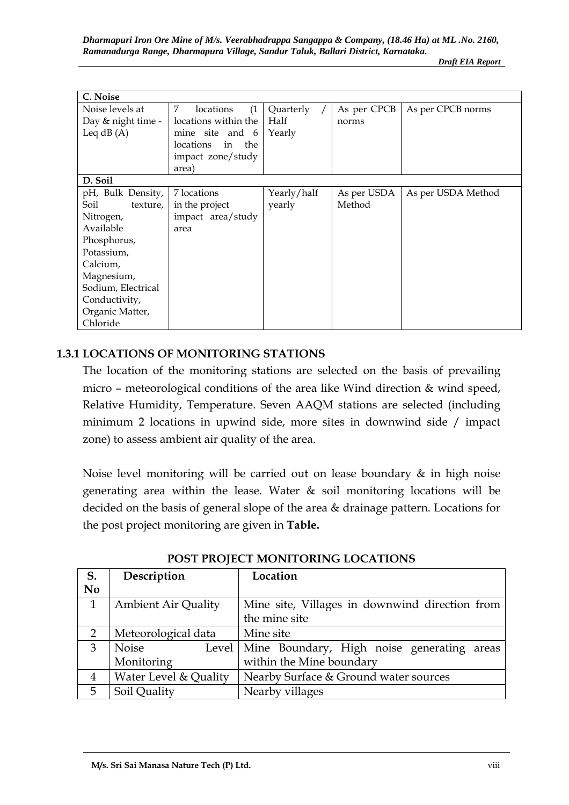| C. Noise           |                        |             |             |                    |
|--------------------|------------------------|-------------|-------------|--------------------|
| Noise levels at    | 7<br>locations<br>(1)  | Quarterly   | As per CPCB | As per CPCB norms  |
| Day & night time - | locations within the   | Half        | norms       |                    |
| Leq $dB(A)$        | mine site and 6        | Yearly      |             |                    |
|                    | locations<br>the<br>in |             |             |                    |
|                    | impact zone/study      |             |             |                    |
|                    | area)                  |             |             |                    |
| D. Soil            |                        |             |             |                    |
| pH, Bulk Density,  | 7 locations            | Yearly/half | As per USDA | As per USDA Method |
| Soil<br>texture,   | in the project         | yearly      | Method      |                    |
| Nitrogen,          | impact area/study      |             |             |                    |
| Available          | area                   |             |             |                    |
| Phosphorus,        |                        |             |             |                    |
| Potassium,         |                        |             |             |                    |
| Calcium,           |                        |             |             |                    |
| Magnesium,         |                        |             |             |                    |
| Sodium, Electrical |                        |             |             |                    |
| Conductivity,      |                        |             |             |                    |
| Organic Matter,    |                        |             |             |                    |
| Chloride           |                        |             |             |                    |

#### **1.3.1 LOCATIONS OF MONITORING STATIONS**

The location of the monitoring stations are selected on the basis of prevailing micro – meteorological conditions of the area like Wind direction & wind speed, Relative Humidity, Temperature. Seven AAQM stations are selected (including minimum 2 locations in upwind side, more sites in downwind side / impact zone) to assess ambient air quality of the area.

Noise level monitoring will be carried out on lease boundary & in high noise generating area within the lease. Water & soil monitoring locations will be decided on the basis of general slope of the area & drainage pattern. Locations for the post project monitoring are given in **Table.**

| S.             | Description                | Location                                       |
|----------------|----------------------------|------------------------------------------------|
| N <sub>0</sub> |                            |                                                |
| 1              | <b>Ambient Air Quality</b> | Mine site, Villages in downwind direction from |
|                |                            | the mine site                                  |
| $\overline{2}$ | Meteorological data        | Mine site                                      |
| 3              | <b>Noise</b><br>Level      | Mine Boundary, High noise generating areas     |
|                | Monitoring                 | within the Mine boundary                       |
| $\overline{4}$ | Water Level & Quality      | Nearby Surface & Ground water sources          |
| 5              | Soil Quality               | Nearby villages                                |

**POST PROJECT MONITORING LOCATIONS**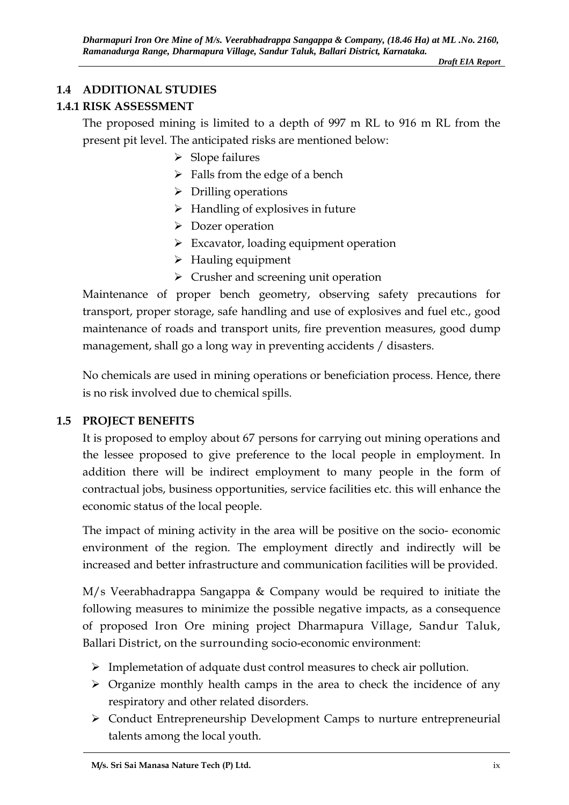# **1.4 ADDITIONAL STUDIES**

# **1.4.1 RISK ASSESSMENT**

The proposed mining is limited to a depth of 997 m RL to 916 m RL from the present pit level. The anticipated risks are mentioned below:

- $\triangleright$  Slope failures
- $\triangleright$  Falls from the edge of a bench
- $\triangleright$  Drilling operations
- $\triangleright$  Handling of explosives in future
- Dozer operation
- $\triangleright$  Excavator, loading equipment operation
- $\triangleright$  Hauling equipment
- $\triangleright$  Crusher and screening unit operation

Maintenance of proper bench geometry, observing safety precautions for transport, proper storage, safe handling and use of explosives and fuel etc., good maintenance of roads and transport units, fire prevention measures, good dump management, shall go a long way in preventing accidents / disasters.

No chemicals are used in mining operations or beneficiation process. Hence, there is no risk involved due to chemical spills.

## **1.5 PROJECT BENEFITS**

It is proposed to employ about 67 persons for carrying out mining operations and the lessee proposed to give preference to the local people in employment. In addition there will be indirect employment to many people in the form of contractual jobs, business opportunities, service facilities etc. this will enhance the economic status of the local people.

The impact of mining activity in the area will be positive on the socio- economic environment of the region. The employment directly and indirectly will be increased and better infrastructure and communication facilities will be provided.

M/s Veerabhadrappa Sangappa & Company would be required to initiate the following measures to minimize the possible negative impacts, as a consequence of proposed Iron Ore mining project Dharmapura Village, Sandur Taluk, Ballari District, on the surrounding socio-economic environment:

- $\triangleright$  Implemetation of adquate dust control measures to check air pollution.
- $\triangleright$  Organize monthly health camps in the area to check the incidence of any respiratory and other related disorders.
- Conduct Entrepreneurship Development Camps to nurture entrepreneurial talents among the local youth.